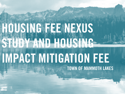## $\frac{1}{\sqrt{1}}$ HOUSING FEE NEXUS STUDY AND HOUSING IMPACT MITIGATION FEE TOWN OF MAMMOTH LAKES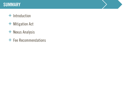#### SUMMARY

- + Introduction
- + Mitigation Act
- + Nexus Analysis
- + Fee Recommendations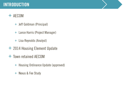### INTRODUCTION

#### + AECOM

- + Jeff Goldman (Principal)
- + Lance Harris (Project Manager)
- + Lisa Reynolds (Analyst)
- + 2014 Housing Element Update
- + Town retained AECOM
	- + Housing Ordinance Update (approved)
	- + Nexus & Fee Study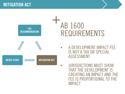

JURISDICTIONS MUST SHOW THAT THE DEVELOPMENT IS CREATING AN IMPACT AND THE FEE IS PROPORTIONAL TO THE IMPACT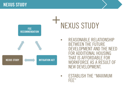

• ESTABLISH THE "MAXIMUM FEE"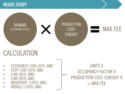

### CALCULATION

- EXTREMELY LOW (30% AMI)
- VERY LOW (50% AMI)
- LOW (60% AMI)
- LOW (80% AMI)
- MODERATE (120% AMI)
- MIDDLE (150% AMI)

UNITS X OCCUPANCY FACTOR X PRODUCTION COST SUBSIDY X  $=$  MAX FEE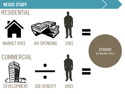### RESIDENTIAL





MARKET RATE HH SPENDING JOBS

DEMAND (BY INCOME LEVEL)





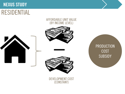### RESIDENTIAL

#### AFFORDABLE UNIT VALUE (BY INCOME LEVEL)







DEVELOPMENT COST (CONSTANT)

PRODUCTION COST SUBSIDY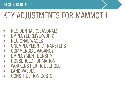## KEY ADJUSTMENTS FOR MAMMOTH

- RESIDENTIAL (SEASONAL)
- EMPLOYEE (LIVE/WORK)
- REGIONAL WAGES
- UNEMPLOYMENT / TRANSFERS
- COMMERCIAL VACANCY
- EMPLOYMENT DENSITY
- HOUSEHOLD FORMATION
- WORKERS PER HOUSEHOLD
- LAND VALUES
- CONSTRUCTION COSTS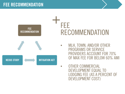## +FEE RECOMMENDATION

NEXUS STUDY MITIGATION ACT

FEE **RECOMMENDATION** 

> • MLH, TOWN, AND/OR OTHER PROGRAMS OR SERVICE PROVIDERS ACCOUNT FOR 70% OF MAX FEE FOR BELOW 60% AMI

• OTHER COMMERCIAL DEVELOPMENT EQUAL TO LODGING FEE (AS A PERCENT OF DEVELOPMENT COST)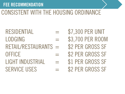### FEE RECOMMENDATION

### CONSISTENT WITH THE HOUSING ORDINANCE

### $\text{RESIDENTIAL}$  = \$7,300 PER UNIT  $\angle$  LODGING  $=$  \$3,700 PER ROOM RETAIL/RESTAURANTS = \$2 PER GROSS SF OFFICE  $=$  \$2 PER GROSS SF  $LIGHT INDUSTRIAL$  = \$1 PER GROSS SF SERVICE USES  $=$  \$2 PER GROSS SF